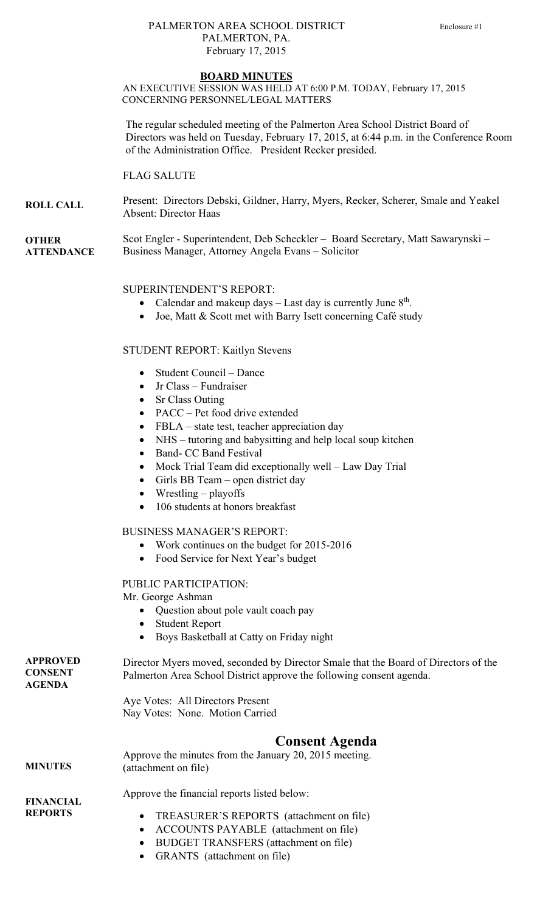# PALMERTON AREA SCHOOL DISTRICT Enclosure #1 PALMERTON, PA. February 17, 2015

#### **BOARD MINUTES**

AN EXECUTIVE SESSION WAS HELD AT 6:00 P.M. TODAY, February 17, 2015 CONCERNING PERSONNEL/LEGAL MATTERS

 The regular scheduled meeting of the Palmerton Area School District Board of Directors was held on Tuesday, February 17, 2015, at 6:44 p.m. in the Conference Room of the Administration Office. President Recker presided.

FLAG SALUTE

**ROLL CALL**  Present: Directors Debski, Gildner, Harry, Myers, Recker, Scherer, Smale and Yeakel Absent: Director Haas

**OTHER ATTENDANCE**  Scot Engler - Superintendent, Deb Scheckler – Board Secretary, Matt Sawarynski – Business Manager, Attorney Angela Evans – Solicitor

## SUPERINTENDENT'S REPORT:

- Calendar and makeup days  $-$  Last day is currently June  $8<sup>th</sup>$ .
- Joe, Matt & Scott met with Barry Isett concerning Café study

## STUDENT REPORT: Kaitlyn Stevens

- Student Council Dance
- Jr Class Fundraiser
- Sr Class Outing
- PACC Pet food drive extended
- FBLA state test, teacher appreciation day
- NHS tutoring and babysitting and help local soup kitchen
- Band- CC Band Festival
- Mock Trial Team did exceptionally well Law Day Trial
- Girls BB Team open district day
- Wrestling playoffs
- 106 students at honors breakfast

BUSINESS MANAGER'S REPORT:

- Work continues on the budget for 2015-2016
- Food Service for Next Year's budget

## PUBLIC PARTICIPATION:

Mr. George Ashman

- Question about pole vault coach pay
- Student Report
- Boys Basketball at Catty on Friday night

**APPROVED CONSENT AGENDA MINUTES**  Director Myers moved, seconded by Director Smale that the Board of Directors of the Palmerton Area School District approve the following consent agenda. Aye Votes: All Directors Present Nay Votes: None. Motion Carried **Consent Agenda**  Approve the minutes from the January 20, 2015 meeting. (attachment on file)

**FINANCIAL REPORTS** 

- Approve the financial reports listed below:
	- TREASURER'S REPORTS (attachment on file)
	- ACCOUNTS PAYABLE (attachment on file)
	- BUDGET TRANSFERS (attachment on file)
	- GRANTS (attachment on file)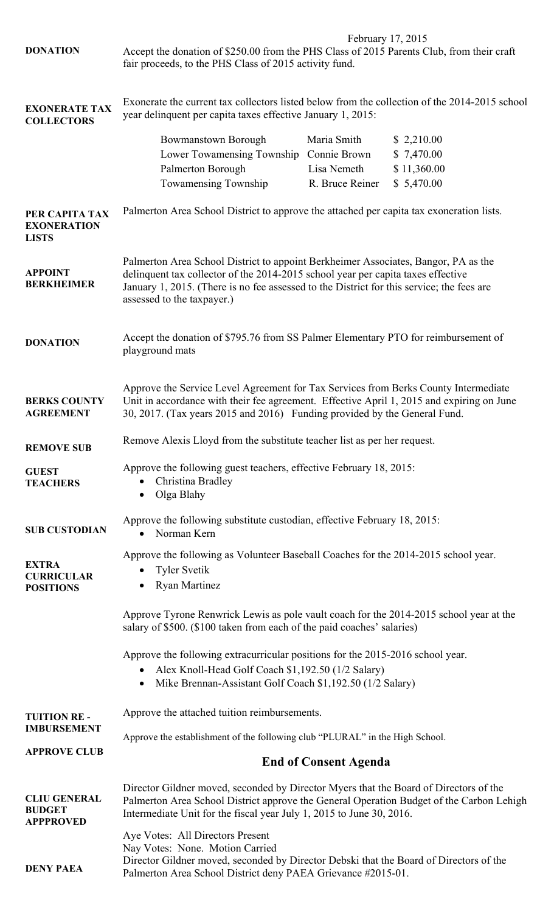|                                                                                           | February 17, 2015<br>Accept the donation of \$250.00 from the PHS Class of 2015 Parents Club, from their craft<br>fair proceeds, to the PHS Class of 2015 activity fund.                                                                                                                          |                 |             |  |
|-------------------------------------------------------------------------------------------|---------------------------------------------------------------------------------------------------------------------------------------------------------------------------------------------------------------------------------------------------------------------------------------------------|-----------------|-------------|--|
| <b>DONATION</b>                                                                           |                                                                                                                                                                                                                                                                                                   |                 |             |  |
| <b>EXONERATE TAX</b><br><b>COLLECTORS</b>                                                 | Exonerate the current tax collectors listed below from the collection of the 2014-2015 school<br>year delinquent per capita taxes effective January 1, 2015:                                                                                                                                      |                 |             |  |
|                                                                                           | <b>Bowmanstown Borough</b>                                                                                                                                                                                                                                                                        | Maria Smith     | \$2,210.00  |  |
|                                                                                           | Lower Towamensing Township                                                                                                                                                                                                                                                                        | Connie Brown    | \$7,470.00  |  |
|                                                                                           | Palmerton Borough                                                                                                                                                                                                                                                                                 | Lisa Nemeth     | \$11,360.00 |  |
|                                                                                           | Towamensing Township                                                                                                                                                                                                                                                                              | R. Bruce Reiner | \$5,470.00  |  |
| PER CAPITA TAX<br><b>EXONERATION</b><br><b>LISTS</b>                                      | Palmerton Area School District to approve the attached per capita tax exoneration lists.                                                                                                                                                                                                          |                 |             |  |
| <b>APPOINT</b><br><b>BERKHEIMER</b>                                                       | Palmerton Area School District to appoint Berkheimer Associates, Bangor, PA as the<br>delinquent tax collector of the 2014-2015 school year per capita taxes effective<br>January 1, 2015. (There is no fee assessed to the District for this service; the fees are<br>assessed to the taxpayer.) |                 |             |  |
| <b>DONATION</b>                                                                           | Accept the donation of \$795.76 from SS Palmer Elementary PTO for reimbursement of<br>playground mats                                                                                                                                                                                             |                 |             |  |
| <b>BERKS COUNTY</b><br><b>AGREEMENT</b>                                                   | Approve the Service Level Agreement for Tax Services from Berks County Intermediate<br>Unit in accordance with their fee agreement. Effective April 1, 2015 and expiring on June<br>30, 2017. (Tax years 2015 and 2016) Funding provided by the General Fund.                                     |                 |             |  |
| <b>REMOVE SUB</b>                                                                         | Remove Alexis Lloyd from the substitute teacher list as per her request.                                                                                                                                                                                                                          |                 |             |  |
| <b>GUEST</b><br><b>TEACHERS</b>                                                           | Approve the following guest teachers, effective February 18, 2015:<br>Christina Bradley<br>Olga Blahy<br>$\bullet$                                                                                                                                                                                |                 |             |  |
| <b>SUB CUSTODIAN</b>                                                                      | Approve the following substitute custodian, effective February 18, 2015:<br>Norman Kern                                                                                                                                                                                                           |                 |             |  |
|                                                                                           | Approve the following as Volunteer Baseball Coaches for the 2014-2015 school year.                                                                                                                                                                                                                |                 |             |  |
| <b>EXTRA</b><br><b>CURRICULAR</b><br><b>POSITIONS</b>                                     | <b>Tyler Svetik</b><br><b>Ryan Martinez</b><br>$\bullet$                                                                                                                                                                                                                                          |                 |             |  |
|                                                                                           | Approve Tyrone Renwrick Lewis as pole vault coach for the 2014-2015 school year at the<br>salary of \$500. (\$100 taken from each of the paid coaches' salaries)                                                                                                                                  |                 |             |  |
|                                                                                           | Approve the following extracurricular positions for the 2015-2016 school year.                                                                                                                                                                                                                    |                 |             |  |
|                                                                                           | Alex Knoll-Head Golf Coach \$1,192.50 (1/2 Salary)<br>$\bullet$                                                                                                                                                                                                                                   |                 |             |  |
|                                                                                           | Mike Brennan-Assistant Golf Coach \$1,192.50 (1/2 Salary)<br>$\bullet$                                                                                                                                                                                                                            |                 |             |  |
|                                                                                           |                                                                                                                                                                                                                                                                                                   |                 |             |  |
| Approve the attached tuition reimbursements.<br><b>TUITION RE -</b><br><b>IMBURSEMENT</b> |                                                                                                                                                                                                                                                                                                   |                 |             |  |
| <b>APPROVE CLUB</b>                                                                       | Approve the establishment of the following club "PLURAL" in the High School.                                                                                                                                                                                                                      |                 |             |  |
|                                                                                           | <b>End of Consent Agenda</b>                                                                                                                                                                                                                                                                      |                 |             |  |
| <b>CLIU GENERAL</b><br><b>BUDGET</b><br><b>APPPROVED</b>                                  | Director Gildner moved, seconded by Director Myers that the Board of Directors of the<br>Palmerton Area School District approve the General Operation Budget of the Carbon Lehigh<br>Intermediate Unit for the fiscal year July 1, 2015 to June 30, 2016.                                         |                 |             |  |
|                                                                                           | Aye Votes: All Directors Present                                                                                                                                                                                                                                                                  |                 |             |  |
|                                                                                           | Nay Votes: None. Motion Carried                                                                                                                                                                                                                                                                   |                 |             |  |
| <b>DENY PAEA</b>                                                                          | Director Gildner moved, seconded by Director Debski that the Board of Directors of the<br>Palmerton Area School District deny PAEA Grievance #2015-01.                                                                                                                                            |                 |             |  |